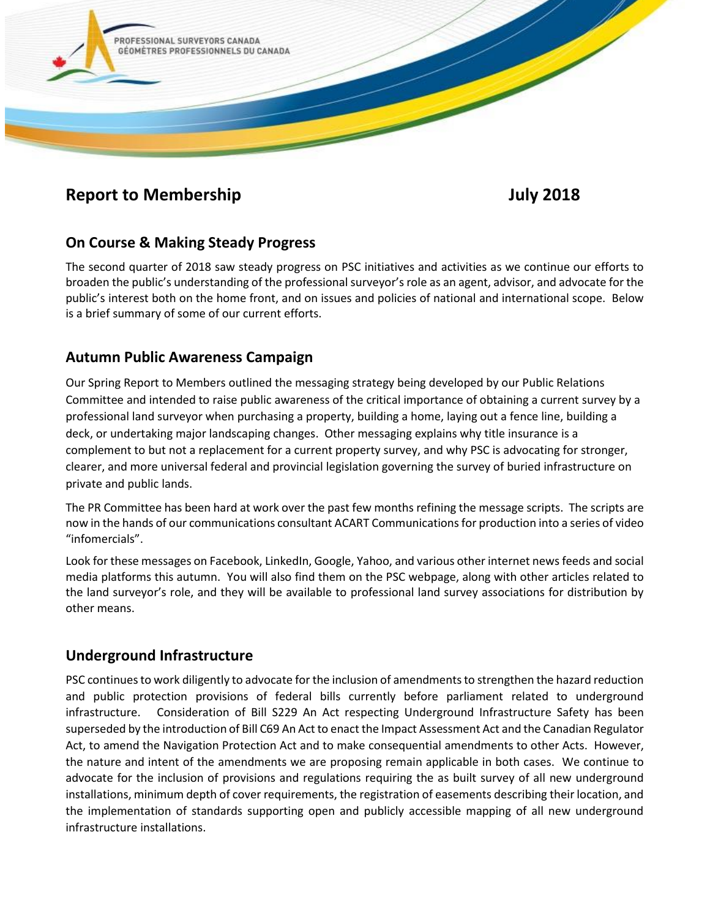

# **Report to Membership July 2018**

# **On Course & Making Steady Progress**

The second quarter of 2018 saw steady progress on PSC initiatives and activities as we continue our efforts to broaden the public's understanding of the professional surveyor's role as an agent, advisor, and advocate for the public's interest both on the home front, and on issues and policies of national and international scope. Below is a brief summary of some of our current efforts.

# **Autumn Public Awareness Campaign**

Our Spring Report to Members outlined the messaging strategy being developed by our Public Relations Committee and intended to raise public awareness of the critical importance of obtaining a current survey by a professional land surveyor when purchasing a property, building a home, laying out a fence line, building a deck, or undertaking major landscaping changes. Other messaging explains why title insurance is a complement to but not a replacement for a current property survey, and why PSC is advocating for stronger, clearer, and more universal federal and provincial legislation governing the survey of buried infrastructure on private and public lands.

The PR Committee has been hard at work over the past few months refining the message scripts. The scripts are now in the hands of our communications consultant ACART Communications for production into a series of video "infomercials".

Look for these messages on Facebook, LinkedIn, Google, Yahoo, and various other internet news feeds and social media platforms this autumn. You will also find them on the PSC webpage, along with other articles related to the land surveyor's role, and they will be available to professional land survey associations for distribution by other means.

### **Underground Infrastructure**

PSC continues to work diligently to advocate for the inclusion of amendments to strengthen the hazard reduction and public protection provisions of federal bills currently before parliament related to underground infrastructure. Consideration of Bill S229 An Act respecting Underground Infrastructure Safety has been superseded by the introduction of Bill C69 An Act to enact the Impact Assessment Act and the Canadian Regulator Act, to amend the Navigation Protection Act and to make consequential amendments to other Acts. However, the nature and intent of the amendments we are proposing remain applicable in both cases. We continue to advocate for the inclusion of provisions and regulations requiring the as built survey of all new underground installations, minimum depth of cover requirements, the registration of easements describing their location, and the implementation of standards supporting open and publicly accessible mapping of all new underground infrastructure installations.